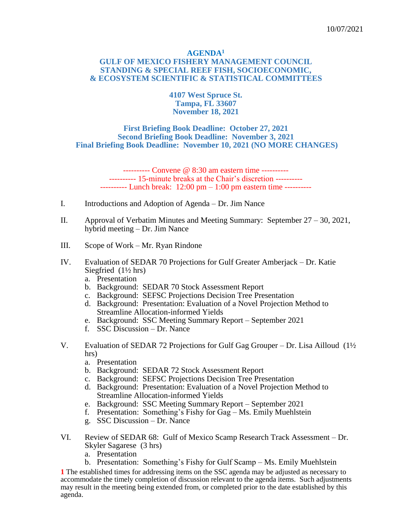### **AGENDA<sup>1</sup> GULF OF MEXICO FISHERY MANAGEMENT COUNCIL STANDING & SPECIAL REEF FISH, SOCIOECONOMIC, & ECOSYSTEM SCIENTIFIC & STATISTICAL COMMITTEES**

**4107 West Spruce St. Tampa, FL 33607 November 18, 2021**

### **First Briefing Book Deadline: October 27, 2021 Second Briefing Book Deadline: November 3, 2021 Final Briefing Book Deadline: November 10, 2021 (NO MORE CHANGES)**

---------- Convene @ 8:30 am eastern time ---------- ---------- 15-minute breaks at the Chair's discretion ---------- ---------- Lunch break: 12:00 pm – 1:00 pm eastern time ----------

- I. Introductions and Adoption of Agenda Dr. Jim Nance
- II. Approval of Verbatim Minutes and Meeting Summary: September  $27 30$ , 2021, hybrid meeting – Dr. Jim Nance
- III. Scope of Work Mr. Ryan Rindone
- IV. Evaluation of SEDAR 70 Projections for Gulf Greater Amberjack Dr. Katie Siegfried  $(1\frac{1}{2}$  hrs)
	- a. Presentation
	- b. Background: SEDAR 70 Stock Assessment Report
	- c. Background: SEFSC Projections Decision Tree Presentation
	- d. Background: Presentation: Evaluation of a Novel Projection Method to Streamline Allocation-informed Yields
	- e. Background: SSC Meeting Summary Report September 2021
	- f. SSC Discussion Dr. Nance
- V. Evaluation of SEDAR 72 Projections for Gulf Gag Grouper Dr. Lisa Ailloud (1½ hrs)
	- a. Presentation
	- b. Background: SEDAR 72 Stock Assessment Report
	- c. Background: SEFSC Projections Decision Tree Presentation
	- d. Background: Presentation: Evaluation of a Novel Projection Method to Streamline Allocation-informed Yields
	- e. Background: SSC Meeting Summary Report September 2021
	- f. Presentation: Something's Fishy for Gag Ms. Emily Muehlstein
	- g. SSC Discussion Dr. Nance
- VI. Review of SEDAR 68: Gulf of Mexico Scamp Research Track Assessment Dr. Skyler Sagarese (3 hrs)
	- a. Presentation
	- b. Presentation: Something's Fishy for Gulf Scamp Ms. Emily Muehlstein

**1** The established times for addressing items on the SSC agenda may be adjusted as necessary to accommodate the timely completion of discussion relevant to the agenda items. Such adjustments may result in the meeting being extended from, or completed prior to the date established by this agenda.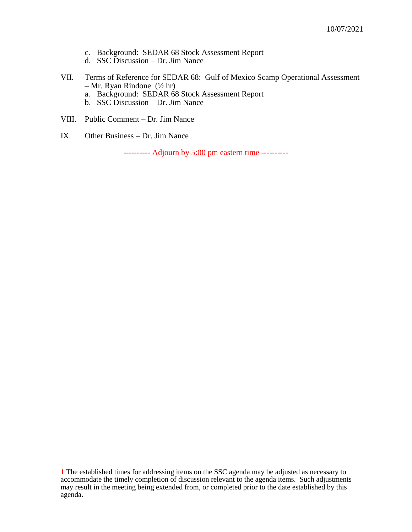- c. Background: SEDAR 68 Stock Assessment Report
- d. SSC Discussion Dr. Jim Nance
- VII. Terms of Reference for SEDAR 68: Gulf of Mexico Scamp Operational Assessment – Mr. Ryan Rindone (½ hr)
	- a. Background: SEDAR 68 Stock Assessment Report
	- b. SSC Discussion Dr. Jim Nance
- VIII. Public Comment Dr. Jim Nance
- IX. Other Business Dr. Jim Nance

---------- Adjourn by 5:00 pm eastern time ----------

**1** The established times for addressing items on the SSC agenda may be adjusted as necessary to accommodate the timely completion of discussion relevant to the agenda items. Such adjustments may result in the meeting being extended from, or completed prior to the date established by this agenda.